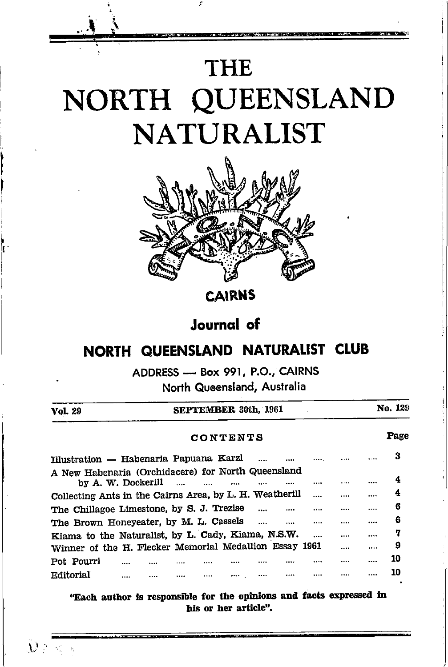# **THE** NORTH QUEENSLAND **NATURALIST**



**CAIRNS** 

### **Journal** of

### NORTH QUEENSLAND NATURALIST CLUB

ADDRESS - Box 991, P.O., CAIRNS

North Queensland, Australia

| Vol. 29                                                 |                    |               | <b>SEPTEMBER 30th, 1961</b> |  |      | No. 129 |
|---------------------------------------------------------|--------------------|---------------|-----------------------------|--|------|---------|
|                                                         |                    |               | CONTENTS                    |  |      | Page    |
| Illustration — Habenaria Papuana Karzl                  |                    |               |                             |  |      | з       |
| A New Habenaria (Orchidacere) for North Queensland      | by A. W. Dockerill | $\sim$ $\sim$ |                             |  |      | 4       |
| Collecting Ants in the Cairns Area, by L. H. Weatherill |                    |               |                             |  |      | 4       |
| The Chillagoe Limestone, by S. J. Trezise               |                    |               |                             |  | <br> | <br>6   |
| The Brown Honeyeater, by M. L. Cassels                  |                    |               |                             |  | <br> | <br>6   |
| Kiama to the Naturalist, by L. Cady, Kiama, N.S.W.      |                    |               |                             |  |      | <br>7   |
| Winner of the H. Flecker Memorial Medallion Essay 1961  |                    |               |                             |  |      | <br>9   |
| Pot Pourri                                              |                    |               |                             |  |      | 10      |
| Editorial                                               | <br>               |               |                             |  |      | 10      |

"Each author is responsible for the opinions and facts expressed in his or her article".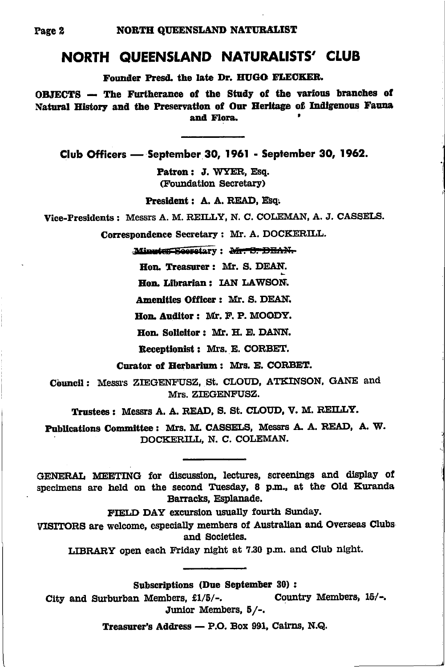#### NORTH QUEENSLAND NATURALISTS' CLUB

Founder Presd. the late Dr. HUGO FLECKER.

OBJECTS -- The Furtherance of the Study of the various branches of Natural History and the Preservation of Our Heritage of Indigenous Fauna and Flora.

Club Officers - September 30, 1961 - September 30, 1962.

Patron: J. WYER. Esq. (Foundation Secretary)

President: A. A. READ. Esq.

Vice-Presidents: Messrs A. M. REILLY, N. C. COLEMAN, A. J. CASSELS.

Correspondence Secretary: Mr. A. DOCKERILL.

Minutes Secretary: Mr. S. DEAN.

Hon. Treasurer: Mr. S. DEAN.

Hon. Librarian: IAN LAWSON.

Amenities Officer: Mr. S. DEAN.

Hon. Auditor: Mr. F. P. MOODY.

Hon. Solicitor: Mr. H. E. DANN.

Receptionist: Mrs. E. CORBET.

Curator of Herbarium: Mrs. E. CORBET.

Council: Messrs ZIEGENFUSZ, St. CLOUD, ATKINSON, GANE and Mrs. ZIEGENFUSZ.

Trustees: Messrs A. A. READ, S. St. CLOUD, V. M. REILLY.

Publications Committee: Mrs. M. CASSELS, Messrs A. A. READ, A. W. DOCKERILL, N. C. COLEMAN.

GENERAL MEETING for discussion, lectures, screenings and display of specimens are held on the second Tuesday, 8 p.m., at the Old Kuranda Barracks, Esplanade.

FIELD DAY excursion usually fourth Sunday.

VISITORS are welcome, especially members of Australian and Overseas Clubs and Societies.

LIBRARY open each Friday night at 7.30 p.m. and Club night.

**Subscriptions (Due September 30):** 

City and Surburban Members. £1/5/-. Country Members, 15/-. Junior Members, 5/-.

Treasurer's Address - P.O. Box 991, Cairns, N.Q.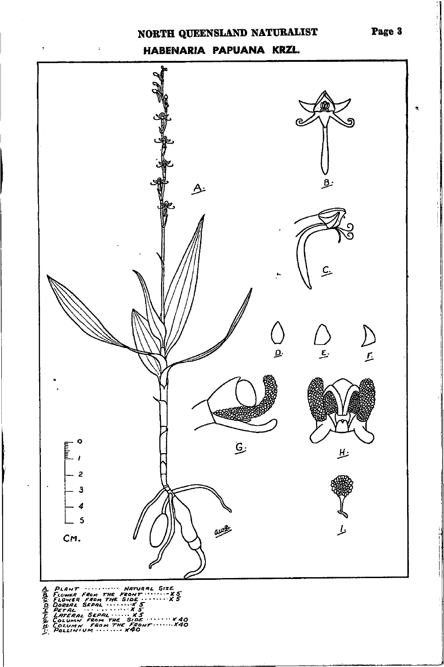#### NORTH QUEENSLAND NATURALIST

#### HABENARIA PAPUANA KRZL.

 $\cdot$ 

l,

 $\cdot$ 

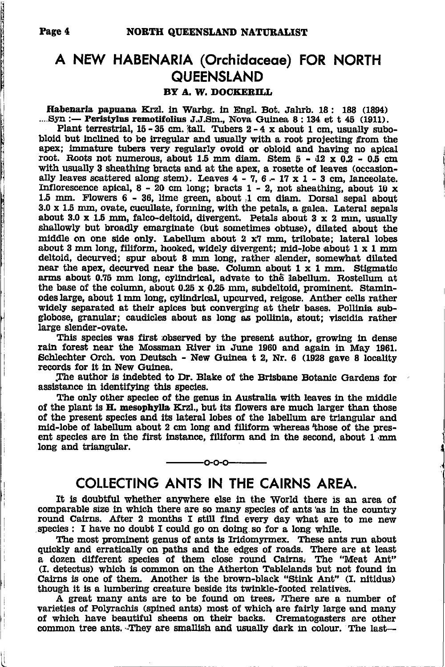#### A NEW HABENARIA (Orchidaceae) FOR NORTH **QUEENSLAND** BY A. W. DOCKERILL

Habenaria papuana Krzl. in Warbg. in Engl. Bot. Jahrb. 18: 188 (1894) ...Syn :- Peristylus remotifolius J.J.Sm., Nova Guinea 8:134 et t 45 (1911).

Plant terrestrial, 15 - 35 cm, tall. Tubers 2 - 4 x about 1 cm, usually subobloid but inclined to be irregular and usually with a root projecting from the apex; immature tubers very regularly ovoid or obloid and having no apical root. Roots not numerous, about 1.5 mm diam. Stem  $5 - 12 \times 0.2 - 0.5$  cm with usually 3 sheathing bracts and at the apex, a rosette of leaves (occasionally leaves scattered along stem). Leaves  $4 - 7$ ,  $6 - 17 \times 1 - 3$  cm, lanceolate. Inflorescence apical,  $8 - 20$  cm long; bracts  $1 - 2$ , not sheathing, about 10 x 1.5 mm. Flowers 6 - 36, lime green, about 1 cm diam. Dorsal sepal about 3.0 x 1.5 mm, ovate, cucullate, forming, with the petals, a galea. Lateral sepals about 3.0 x 1.5 mm, falco-deltoid, divergent. Petals about 3 x 2 mm, usually shallowly but broadly emarginate (but sometimes obtuse), dilated about the middle on one side only. Labellum about 2 x7 mm, trilobate: lateral lobes about 3 mm long, filiform, hooked, widely divergent; mid-lobe about 1 x 1 mm deltoid, decurved; spur about 8 mm long, rather slender, somewhat dilated near the apex, decurved near the base. Column about  $1 \times 1$  mm. Stigmatic arms about 0.75 mm long, cylindrical, advate to the labellum. Rostellum at the base of the column, about  $0.25 \times 0.25$  mm, subdeltoid, prominent. Staminodes large, about 1 mm long, cylindrical, upcurved, reigose. Anther cells rather widely separated at their apices but converging at their bases. Pollinia subglobose, granular; caudicles about as long as pollinia, stout; viscidia rather large slender-ovate.

This species was first observed by the present author, growing in dense rain forest near the Mossman River in June 1960 and again in May 1961. Schlechter Orch. von Deutsch - New Guinea t 2, Nr. 6 (1928 gave 8 locality records for it in New Guinea.

The author is indebted to Dr. Blake of the Brisbane Botanic Gardens for assistance in identifying this species.

The only other speciec of the genus in Australia with leaves in the middle of the plant is H. mesophylla Krzl., but its flowers are much larger than those of the present species and its lateral lobes of the labellum are triangular and mid-lobe of labellum about 2 cm long and filiform whereas those of the present species are in the first instance, filiform and in the second, about 1 mm long and triangular.

#### COLLECTING ANTS IN THE CAIRNS AREA.

 $0 - 0 - 0$ 

It is doubtful whether anywhere else in the World there is an area of comparable size in which there are so many species of ants as in the country round Cairns. After 2 months I still find every day what are to me new species : I have no doubt I could go on doing so for a long while.

The most prominent genus of ants is Iridomyrmex. These ants run about quickly and erratically on paths and the edges of roads. There are at least a dozen different species of them close round Cairns. The "Meat Ant" (I. detectus) which is common on the Atherton Tablelands but not found in Cairns is one of them. Another is the brown-black "Stink Ant" (I. nitidus) though it is a lumbering creature beside its twinkle-footed relatives.

A great many ants are to be found on trees. There are a number of varieties of Polyrachis (spined ants) most of which are fairly large and many of which have beautiful sheens on their backs. Crematogasters are other common tree ants. They are smallish and usually dark in colour. The last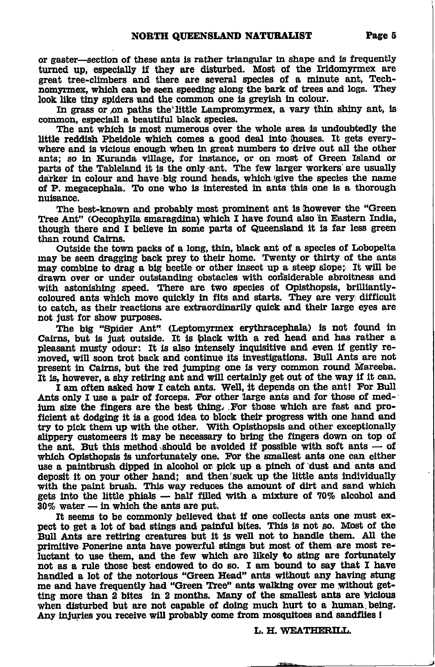or gaster—section of these ants is rather triangular in shape and is frequently turned up, especially if they are disturbed. Most of the Iridomyrmex are great tree-climbers and there are several species of a minute ant. Technomyrmex, which can be seen speeding along the bark of trees and logs. They look like tiny spiders and the common one is grevish in colour.

In grass or on paths the little Lampromyrmex, a vary thin shiny ant, is common. especiall a beautiful black species.

The ant which is most numerous over the whole area is undoubtedly the little reddish Pheidole which comes a good deal into houses. It gets everywhere and is vicious enough when in great numbers to drive out all the other ants; so in Kuranda village, for instance, or on most of Green Island or parts of the Tableland it is the only ant. The few larger workers are usually darker in colour and have big round heads, which give the species the name of P. megacephala. To one who is interested in ants this one is a thorough nuisance.

The best-known and probably most prominent ant is however the "Green Tree Ant" (Oecophylla smaragdina) which I have found also in Eastern India, though there and I believe in some parts of Queensland it is far less green than round Cairns.

Outside the town packs of a long, thin, black ant of a species of Lobopelta may be seen dragging back prey to their home. Twenty or thirty of the ants may combine to drag a big beetle or other insect up a steep slope; It will be drawn over or under outstanding obstacles with considerable abroitness and with astonishing speed. There are two species of Opisthopsis, brilliantlycoloured ants which move quickly in fits and starts. They are very difficult to catch, as their reactions are extraordinarily quick and their large eyes are not just for show purposes.

The big "Spider Ant" (Leptomyrmex erythracephala) is not found in Cairns, but is just outside. It is black with a red head and has rather a pleasant musty odour: It is also intensely inquisitive and even if gently removed, will soon trot back and continue its investigations. Bull Ants are not present in Cairns, but the red jumping one is very common round Mareeba. It is, however, a shy retiring ant and will certainly get out of the way if it can.

I am often asked how I catch ants. Well, it depends on the ant! For Bull Ants only I use a pair of forceps. For other large ants and for those of medjum size the fingers are the best thing. For those which are fast and proficient at dodging it is a good idea to block their progress with one hand and try to pick them up with the other. With Opisthopsis and other exceptionally slippery customeers it may be necessary to bring the fingers down on top of the ant. But this method should be avoided if possible with soft ants - of which Opisthopsis is unfortunately one. For the smallest ants one can either use a paintbrush dipped in alcohol or pick up a pinch of dust and ants and deposit it on your other hand; and then suck up the little ants individually with the paint brush. This way reduces the amount of dirt and sand which gets into the little phials - half filled with a mixture of 70% alcohol and  $30\%$  water  $-$  in which the ants are put.

It seems to be commonly believed that if one collects ants one must expect to get a lot of bad stings and painful bites. This is not so. Most of the Bull Ants are retiring creatures but it is well not to handle them. All the primitive Ponerine ants have powerful stings but most of them are most reluctant to use them, and the few which are likely to sting are fortunately not as a rule those best endowed to do so. I am bound to say that I have handled a lot of the notorious "Green Head" ants without any having stung me and have frequently had "Green Tree" ants walking over me without getting more than 2 bites in 2 months. Many of the smallest ants are vicious when disturbed but are not capable of doing much hurt to a human being. Any injuries you receive will probably come from mosquitoes and sandflies !

L. H. WEATHERILL.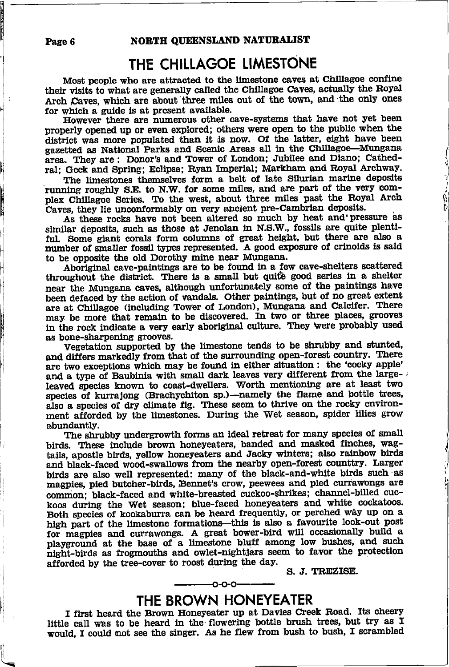## THE CHILLAGOE LIMESTONE

Most people who are attracted to the limestone caves at Chillagoe confine their visits to what are generally called the Chillagoe Caves, actually the Royal Arch Caves, which are about three miles out of the town, and the only ones for which a guide is at present available.

However there are numerous other cave-systems that have not yet been properly opened up or even explored; others were open to the public when the district was more populated than it is now. Of the latter, eight have been gazetted as National Parks and Scenic Areas all in the Chillagoe-Mungana area. They are: Donor's and Tower of London; Jubilee and Diano; Cathedral; Geck and Spring; Eclipse; Ryan Imperial; Markham and Royal Archway.

The limestones themselves form a belt of late Silurian marine deposits running roughly S.E. to N.W. for some miles, and are part of the very complex Chillagoe Series. To the west, about three miles past the Royal Arch Caves, they lie unconformably on very ancient pre-Cambrian deposits.

As these rocks have not been altered so much by heat and pressure as similar deposits, such as those at Jenolan in N.S.W., fossils are quite plentiful. Some giant corals form columns of great height, but there are also a number of smaller fossil types represented. A good exposure of crinoids is said to be opposite the old Dorothy mine near Mungana.

Aboriginal cave-paintings are to be found in a few cave-shelters scattered throughout the district. There is a small but quite good series in a shelter near the Mungana caves, although unfortunately some of the paintings have been defaced by the action of vandals. Other paintings, but of no great extent are at Chillagoe (including Tower of London), Mungana and Calcifer. There may be more that remain to be discovered. In two or three places, grooves in the rock indicate a very early aboriginal culture. They were probably used as bone-sharpening grooves.

Vegetation supported by the limestone tends to be shrubby and stunted, and differs markedly from that of the surrounding open-forest country. There are two exceptions which may be found in either situation : the 'cocky apple' and a type of Baubinia with small dark leaves very different from the largeleaved species known to coast-dwellers. Worth mentioning are at least two species of kurrajong (Brachychiton sp.)—namely the flame and bottle trees, also a species of dry climate fig. These seem to thrive on the rocky environment afforded by the limestones. During the Wet season, spider lilies grow abundantly.

The shrubby undergrowth forms an ideal retreat for many species of small birds. These include brown honeyeaters, banded and masked finches, wagtails, apostle birds, yellow honeyeaters and Jacky winters; also rainbow birds and black-faced wood-swallows from the nearby open-forest counttry. Larger birds are also well represented: many of the black-and-white birds such as magpies, pied butcher-birds, Bennet's crow, peewees and pied currawongs are common; black-faced and white-breasted cuckoo-shrikes; channel-billed cuckoos during the Wet season; blue-faced honeyeaters and white cockatoos. Both species of kookaburra can be heard frequently, or perched way up on a high part of the limestone formations-this is also a favourite look-out post for magpies and currawongs. A great bower-bird will occasionally build a playground at the base of a limestone bluff among low bushes, and such night-birds as frogmouths and owlet-nightjars seem to favor the protection afforded by the tree-cover to roost during the day.

S. J. TREZISE.

#### -0-0-0-THE BROWN HONEYEATER

I first heard the Brown Honeyeater up at Davies Creek Road. Its cheery little call was to be heard in the flowering bottle brush trees, but try as I would, I could not see the singer. As he flew from bush to bush, I scrambled

Page 6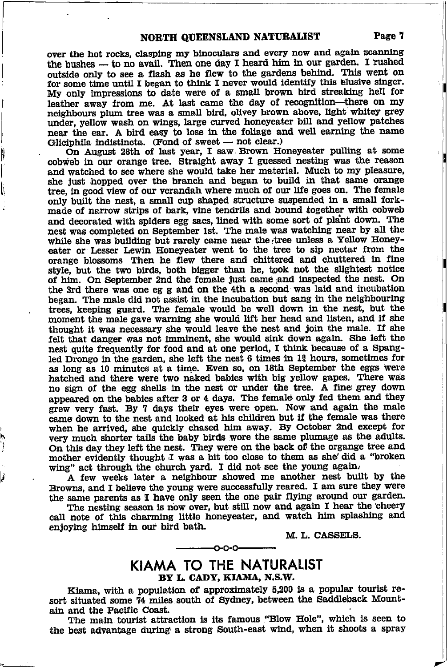over the hot rocks, clasping my binoculars and every now and again scanning the bushes — to no avail. Then one day I heard him in our garden. I rushed outside only to see a flash as he flew to the gardens behind. This went on outside only to see a flash as he flew to the gardens behind. This went on for some time until I began to think I never would identify this elusive singer. My only impressions to date were of a small brown bird streaking hell for leather away from me. At last came the day of recognition-there on my neighbours plum tree was a small bird, olivey brown above, light whitey grey under, yellow wash on wings, large curved honeyeater bill and yellow patches near the ear. A bird easy to lose in the foliage and well earning the name Gliciphila indistincta. (Fond of sweet - not clear.)

li I l\

Iphila indistincta. (Folid of sweet  $-$  not clear.)<br>On August 28th of last year, I saw Brown Honeyeater pulling at some cobweb in our orange tree. Straight away I guessed nesting was the reason and watched to see where she would take her material. Much to my pleasure, she just hopped over the branch and began to build in that same orange tree, in good view of our verandah where much of our life goes on. The female only built the nest, a small cup shaped structure suspended in a small forkmade of narrow strips of bark, vine tendrils and bound together with cobweb and decorated with spiders egg sacs, lined with some sort of plant down. The nest was completed on September 1st. The male was watching near by all the while she was building but rarely came near the tree unless a Yellow Honeyeater or Lesser Lewin Honeyeater went to the tree to sip nectar from the orange blossoms Then he flew there and chittered and chuttered tn fine style, but the two birds, both bigger than he, took not the slightest notice of him. On September 2nd the female just came and inspected the nest. On the 3rd there was one eg g and on the 4th a second was laid and incubation began. The male did not assist in the incubation but sang in the neighbouring trees, keeping guard. The female would be well down in the nest, but the moment the male gave warning she would lift her head and listen, and if she thought it was necessary she would leave the nest and join the male. If she felt that danger was not imminent, she would sink down again. She left the nest quite frequently for food and at one period, I think because of a Spangled Drongo in the garden, she left the nest  $6$  times in  $1\frac{9}{4}$  hours, sometimes for as long as 10 minutes at a time. Even so, on 18th September the eggs were hatched and there were two naked babies with big yellow gapes. There waa no sign of the egg shells in the nest or under the tree. A fine grey down appeared on the babies after 3 or 4 days. The female only fed them and they grew very fast. By 7 days their eyes were open. Now and again the male came down to the nest and looked at his children but if the female was there when he arrived, she quickly chased him away. By October 2nd except for very much shorter tails the baby birds wore the same plumage as the adults. On this day they left the nest. They were on the back of the organge tree and mother evidently thought I was a bit too close to them as she'did a "broken wing" act through the church yard. I did not see the young again.

A few weeks later a neighbour showed me another nest built by the Browns, and I believe the young were successfully reared. I am sure they were the same parents as I have only seen the one pair flying around our garden.

The nesting season is now over, but still now and again I hear the cheery call note of this charming little honeyeater, and watch him splashing and enjoying himself in our bird bath.

M. L. CASSELS.

#### KIAMA TO THE NATURALIST BY L. CADY, KIAMA, N.S.W.

€-o-o-

Klama, with a population of approximately 5,200 is a popular tourist resort situated some 74 miles south of Sydney, between the Saddleback Mountain and the Pacific Coast.

The main tourist attraction is its famous "Blow Hole", which is seen to the best advantage during a strong South-east wind, when it shoots a spray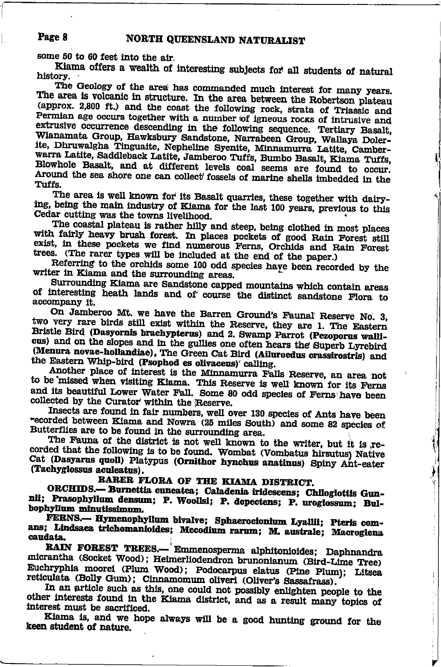#### Page 8 NORTH QUEENSLAND NATURALIST

some 50 to 60 feet into the air.

Kiama offers a wealth of interesting subjects for all students of natural history.

The Geology of the area has commanded much interest for many years. The area is volcanic in structure. In the area between the Robertson plateau (approx. 2,800 ft.) and the coast the following rock, strata of Triassic and Permian age occurs together with a number of igneous rocks of intrusive and extrusive occurrence descending in the following sequence. Tertiary Basalt, Wianamata Group. Hawksbury Sandstone, Narrabeen Group, Wallaya Dolerite, Dhruwalgha Tinguaite, Nepheline Syenite, Minnamurra Latite, Camberwarra Latite, Saddleback Latite, Jamberoo Tuffs, Bumbo Basalt, Kiama Tuffs, Blowhole Basalt, and at different levels coal seems are found to occur. Around the sea shore one can collect fossels of marine shells imbedded in the Tuffs.

The area is well known for its Basalt quarries, these together with dairying, being the main industry of Kiama for the last 100 years, previous to this Cedar cutting was the towns livelihood.

The coastal plateau is rather hilly and steep, being clothed in most places with fairly heavy brush forest. In places pockets of good Rain Forest still exist, in these pockets we find numerous Ferns, Orchids and Rain Forest trees. (The rarer types will be included at the end of the paper.)

Referring to the orchids some 100 odd species have been recorded by the writer in Kiama and the surrounding areas.

Surrounding Kiama are Sandstone capped mountains which contain areas of interesting heath lands and of course the distinct sandstone Flora to accompany it.

On Jamberoo Mt. we have the Barren Ground's Faunal Reserve No. 3. two very rare birds still exist within the Reserve, they are 1. The Eastern Bristle Bird (Dasyornis brachypterus) and 2. Swamp Parrot (Pezoporus wallicus) and on the slopes and in the gullies one often hears the Superb Lyrebird (Menura novae-hollandiae), The Green Cat Bird (Ailuroedus crassirostris) and the Eastern Whip-bird (Psophod es olivaceus)' calling.

Another place of interest is the Minnamurra Falls Reserve, an area not to be missed when visiting Kiama. This Reserve is well known for its Ferns and its beautiful Lower Water Fall. Some 80 odd species of Ferns have been collected by the Curator within the Reserve.

Insects are found in fair numbers, well over 130 species of Ants have been recorded between Kiama and Nowra (25 miles South) and some 82 species of Butterflies are to be found in the surrounding area.

The Fauna of the district is not well known to the writer, but it is recorded that the following is to be found. Wombat (Vombatus hirsutus) Native Cat (Dasyarus quoll) Platypus (Ornithor hynchus anatinus) Spiny Ant-eater (Tachyglossus aculeatus).

İ

#### RARER FLORA OF THE KIAMA DISTRICT.

ORCHIDS.- Burnettia cuneatea; Caladenia iridescens; Chiloglottis Gunnii; Prasophyllum densum; P. Woollsi; P. depectens; P. uroglossum; Bulbophyllum minutissimum.

FERNS.-- Hymenophyllum bivalve; Sphaerocionium Lyallii; Pteris comans; Lindsaea trichomanioides; Mecodium rarum; M. australe; Macroglena caudata.

RAIN FOREST TREES.— Emmenosperma alphitonioides; Daphnandra micrantha (Socket Wood); Heimerliodendron brunonianum (Bird-Lime Tree) Euchryphia moorei (Plum Wood); Podocarpus elatus (Pine Plum); Litsea reticulata (Bolly Gum); Cinnamomum oliveri (Oliver's Sassafrass).

In an article such as this, one could not possibly enlighten people to the other interests found in the Kiama district, and as a result many topics of interest must be sacrificed.

Kiama is, and we hope always will be a good hunting ground for the keen student of nature.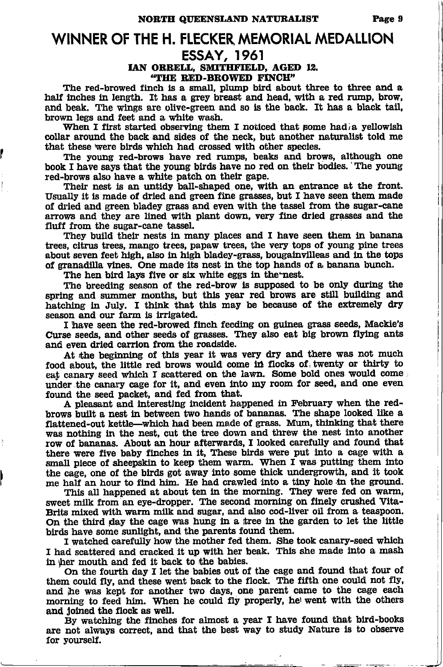#### WINNER OF THE H. FLECKER MEMORIAL MEDALLION **ESSAY, 1961**

IAN ORRELL, SMITHFIELD, AGED 12. "THE RED-BROWED FINCH"

The red-browed finch is a small, plump bird about three to three and a half inches in length. It has a grey breast and head, with a red rump, brow, and beak. The wings are olive-green and so is the back. It has a black tail, brown legs and feet and a white wash.

When I first started observing them I noticed that some had a yellowish collar around the back and sides of the neck, but another naturalist told me that these were birds which had crossed with other species.

The young red-brows have red rumps, beaks and brows, although one book I have says that the young birds have no red on their bodies. The young red-brows also have a white patch on their gape.

Their nest is an untidy ball-shaped one, with an entrance at the front. Usually it is made of dried and green fine grasses, but I have seen them made of dried and green bladey grass and even with the tassel from the sugar-cane arrows and they are lined with plant down, very fine dried grasses and the fluff from the sugar-cane tassel.

They build their nests in many places and I have seen them in banana trees, citrus trees, mango trees, papaw trees, the very tops of young pine trees about seven feet high, also in high bladey-grass, bougainvilleas and in the tops of granadilla vines. One made its nest in the top hands of a banana bunch.

The hen bird lays five or six white eggs in the nest.

The breeding season of the red-brow is supposed to be only during the spring and summer months, but this year red brows are still building and hatching in July. I think that this may be because of the extremely dry season and our farm is irrigated.

I have seen the red-browed finch feeding on guinea grass seeds, Mackie's Curse seeds, and other seeds of grasses. They also eat big brown flying ants and even dried carrion from the roadside.

At the beginning of this year it was very dry and there was not much food about, the little red brows would come in flocks of twenty or thirty to eat canary seed which I scattered on the lawn. Some bold ones would come under the canary cage for it, and even into my room for seed, and one even found the seed packet, and fed from that.

A pleasant and interesting incident happened in February when the redbrows built a nest in between two hands of bananas. The shape looked like a flattened-out kettle—which had been made of grass. Mum, thinking that there was nothing in the nest, cut the tree down and threw the nest into another row of bananas. About an hour afterwards, I looked carefully and found that there were five baby finches in it, These birds were put into a cage with a small piece of sheepskin to keep them warm. When I was putting them into the cage, one of the birds got away into some thick undergrowth, and it took me half an hour to find him. He had crawled into a tiny hole in the ground.

This all happened at about ten in the morning. They were fed on warm, sweet milk from an eye-dropper. The second morning on finely crushed Vita-Brits mixed with warm milk and sugar, and also cod-liver oil from a teaspoon. On the third day the cage was hung in a tree in the garden to let the little birds have some sunlight, and the parents found them.

I watched carefully how the mother fed them. She took canary-seed which I had scattered and cracked it up with her beak. This she made into a mash in ther mouth and fed it back to the babies.

On the fourth day I let the babies out of the cage and found that four of them could fly, and these went back to the flock. The fifth one could not fly, and he was kept for another two days, one parent came to the cage each morning to feed him. When he could fly properly, he went with the others and joined the flock as well.

By watching the finches for almost a year I have found that bird-books are not always correct, and that the best way to study Nature is to observe for yourself.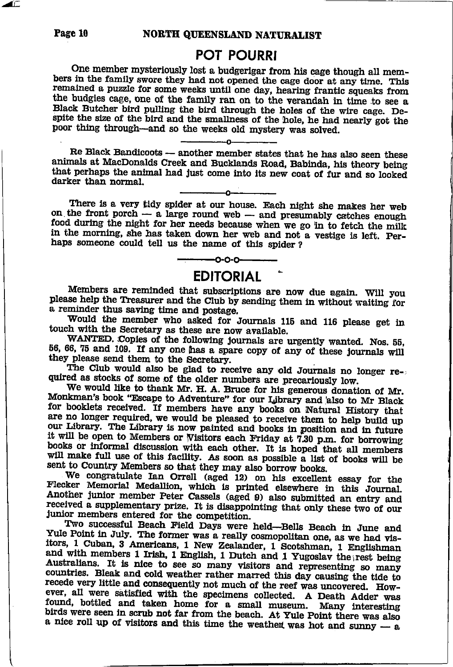**POT POURRI**<br>One member mysteriously lost a budgerigar from his cage though all members in the family swore they had not opened the cage door at any time. This remained a puzzle for some weeks until one day, hearing frantic squeaks from the budgies cage, one of the family ran on to the verandah in time t spite the size of the bird and the smallness of the hole, he had nearly got the poor thing through-and so the weeks old mystery was solved.

Re Black Bandicoots -- another member states that he has also seen these animals at MacDonalds Creek and Bucklands Road. Babinda, his theory being that perhaps the animal had just come into its new coat of fur and so looked darker than normal.

There is a very tidy spider at our house. Each night she makes her web on the front porch  $-$  a large round web -- a large round web --<br>ht for her needs because in the morning, she has taken down her web and not a vestige is left. Perhaps someone could tell us the name of this spider ?

 $-0.0-$ 

**EDITORIAL** Members are reminded that subscriptions are now due again. Will you please help the Treasurer and the Club by sending them in without waiting for a reminder thus savlng tine and postage.

Would the member who asked for Journals 115 and 116 please get in touch with the Secretary as these are now available.<br>WANTED. Copies of the following journals are urgently wanted. Nos. 55.

56, 66, 75 and 109. If any one has a spare copy of any of these journals will they please send them to the Secretary.<br>The Club would also be glad to receive any old Journals no longer required as stocks of some of the olde

Monkman's book "Escape to Adventure" for our Library and also to Mr Black<br>for booklets received. If members have any books on Natural History that<br>are no longer required, we would be pleased to receive them to help build u our Library. The Library is now painted and books in position and in future it will be open to Members or Wisitors each Friday at 7.30 p.m. for borrowing books or informal discussion with each other. It is hoped that all members will make full use of this facility. As soon as possible a list of books will be sent to Country Members so that they may also borrow books.

Flecker Memorial Medallion, which is printed elsewhere in this Journal.<br>Another junior member Peter Cassels (aged 9) also submitted an entry and We congratulate Ian Orrell (aged 12) on his excellent essay for the Flecker Memorial Medallion, which is printed elsewhere in this Journal.<br>Another junior member Peter Cassels (aged 9) also submitted an entry and received

Yule Point in July. The former was a really cosmopolitan one, as we had visitors, 1 Cuban, 3 Americans, 1 New Zealander, 1 Scotshman, 1 Englishman and with members 1 Irish, 1 English, 1 Dutch and 1 Yugoslav the rest being recede very little and consequently not much of the reef was uncovered. Howfound, bottled and taken home for a small museum. Many interesting birds were seen in scrub not far from the beach. At Yule Point there was also a nice roll up of visitors and this time the weather was hot and sunny — a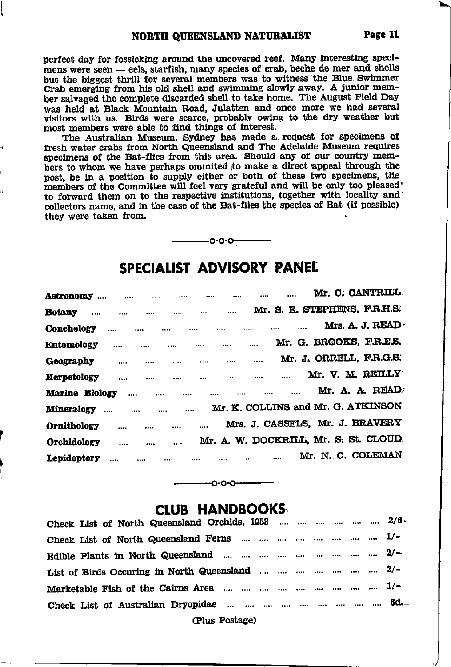perfect day for fossicking around the uncovered reef. Many interesting specimens were seen - eels, starfish, many species of crab, beche de mer and shells but the biggest thrill for several members was to witness the Blue Swimmer Crab emerging from his old shell and swimming slowly away. A junior member salvaged the complete discarded shell to take home. The August Field Day was held at Black Mountain Road, Julatten and once more we had several visitors with us. Birds were scarce, probably owing to the dry weather but most members were able to find things of interest.

The Australian Museum, Sydney has made a request for specimens of fresh water crabs from North Queensland and The Adelaide Museum requires specimens of the Bat-flies from this area. Should any of our country members to whom we have perhaps ommited to make a direct appeal through the post, be in a position to supply either or both of these two specimens, the members of the Committee will feel very grateful and will be only too pleased' to forward them on to the respective institutions, together with locality and collectors name, and in the case of the Bat-flies the species of Bat (if possible) they were taken from.



#### SPECIALIST ADVISORY PANEL

| <b>Astronomy</b>      | $\sim$ $\sim$    | $\cdots$                       | $\cdots$ |          | $\cdots$     |                                       | Mr. C. CANTRILL         |
|-----------------------|------------------|--------------------------------|----------|----------|--------------|---------------------------------------|-------------------------|
| Botany<br>$\cdots$    | $\cdots$         | $\cdots$                       | $\cdots$ | $\cdots$ |              | Mr. S. E. STEPHENS, F.R.H.S.          |                         |
| <b>Conchology</b>     |                  | $\cdots$                       | $\cdots$ |          |              |                                       | Mrs. A. J. READ $\cdot$ |
| <b>Entomology</b>     |                  |                                | $\cdots$ |          |              | Mr. G. BROOKS, F.R.E.S.               |                         |
| Geography             | $\cdots$         | $\cdots$                       | $\cdots$ |          | <br>         | Mr. J. ORRELL, F.R.G.S.               |                         |
| <b>Herpetology</b>    | $\cdots$         |                                |          | $\cdots$ | <br>         |                                       | Mr. V. M. REILLY        |
| <b>Marine Biology</b> |                  | $\cdots$<br>$\sim$ 1000 $\sim$ | $\cdots$ | $\cdots$ |              |                                       | Mr. A. A. READ          |
| <b>Mineralogy</b>     | $\sim$ 100 $\mu$ | $\sim$ $\sim$                  | $\cdots$ |          |              | Mr. K. COLLINS and Mr. G. ATKINSON    |                         |
| <b>Ornithology</b>    | $\cdots$         | $\cdots$                       |          |          |              | Mrs. J. CASSELS, Mr. J. BRAVERY       |                         |
| <b>Orchidology</b>    | $\cdots$         |                                | $\cdots$ |          |              | Mr. A. W. DOCKRILL, Mr. S. St. CLOUD. |                         |
| Lepidoptory           | $\cdots$         | $\cdots$                       |          |          | <br>$\cdots$ | Mr. N. C. COLEMAN                     |                         |
|                       |                  |                                |          |          |              |                                       |                         |



0-0-0

| Check List of North Queensland Orchids, 1953      2/6.                                                                    |  |  |  |  |
|---------------------------------------------------------------------------------------------------------------------------|--|--|--|--|
|                                                                                                                           |  |  |  |  |
|                                                                                                                           |  |  |  |  |
| List of Birds Occuring in North Queensland        2/-                                                                     |  |  |  |  |
| Marketable Fish of the Cairns Area $\ldots$ $\ldots$ $\ldots$ $\ldots$ $\ldots$ $\ldots$ $\ldots$ $\ldots$ $\ldots$ $1/-$ |  |  |  |  |
|                                                                                                                           |  |  |  |  |
| <b>Example 2014</b> (Plus Postage)                                                                                        |  |  |  |  |